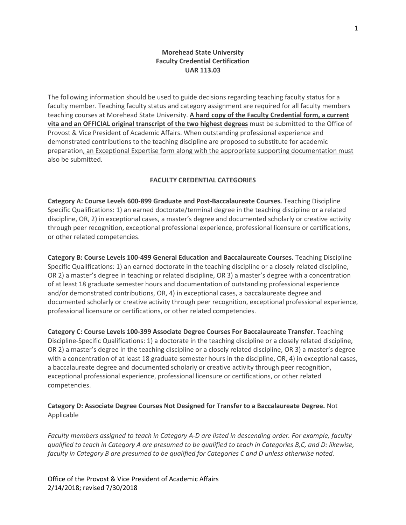## **Morehead State University Faculty Credential Certification UAR 113.03**

The following information should be used to guide decisions regarding teaching faculty status for a faculty member. Teaching faculty status and category assignment are required for all faculty members teaching courses at Morehead State University. **A hard copy of the Faculty Credential form, a current vita and an OFFICIAL original transcript of the two highest degrees** must be submitted to the Office of Provost & Vice President of Academic Affairs. When outstanding professional experience and demonstrated contributions to the teaching discipline are proposed to substitute for academic preparation, an Exceptional Expertise form along with the appropriate supporting documentation must also be submitted.

## **FACULTY CREDENTIAL CATEGORIES**

**Category A: Course Levels 600-899 Graduate and Post-Baccalaureate Courses.** Teaching Discipline Specific Qualifications: 1) an earned doctorate/terminal degree in the teaching discipline or a related discipline, OR, 2) in exceptional cases, a master's degree and documented scholarly or creative activity through peer recognition, exceptional professional experience, professional licensure or certifications, or other related competencies.

**Category B: Course Levels 100-499 General Education and Baccalaureate Courses.** Teaching Discipline Specific Qualifications: 1) an earned doctorate in the teaching discipline or a closely related discipline, OR 2) a master's degree in teaching or related discipline, OR 3) a master's degree with a concentration of at least 18 graduate semester hours and documentation of outstanding professional experience and/or demonstrated contributions, OR, 4) in exceptional cases, a baccalaureate degree and documented scholarly or creative activity through peer recognition, exceptional professional experience, professional licensure or certifications, or other related competencies.

**Category C: Course Levels 100-399 Associate Degree Courses For Baccalaureate Transfer.** Teaching Discipline-Specific Qualifications: 1) a doctorate in the teaching discipline or a closely related discipline, OR 2) a master's degree in the teaching discipline or a closely related discipline, OR 3) a master's degree with a concentration of at least 18 graduate semester hours in the discipline, OR, 4) in exceptional cases, a baccalaureate degree and documented scholarly or creative activity through peer recognition, exceptional professional experience, professional licensure or certifications, or other related competencies.

**Category D: Associate Degree Courses Not Designed for Transfer to a Baccalaureate Degree.** Not Applicable

*Faculty members assigned to teach in Category A-D are listed in descending order. For example, faculty qualified to teach in Category A are presumed to be qualified to teach in Categories B,C, and D: likewise, faculty in Category B are presumed to be qualified for Categories C and D unless otherwise noted.* 

Office of the Provost & Vice President of Academic Affairs 2/14/2018; revised 7/30/2018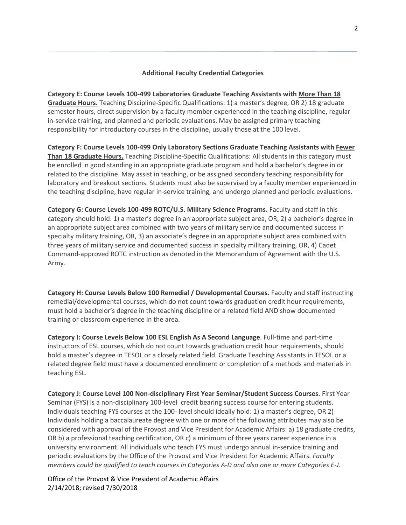## **Additional Faculty Credential Categories**

**Category E: Course Levels 100-499 Laboratories Graduate Teaching Assistants with More Than 18 Graduate Hours.** Teaching Discipline-Specific Qualifications: 1) a master's degree, OR 2) 18 graduate semester hours, direct supervision by a faculty member experienced in the teaching discipline, regular in-service training, and planned and periodic evaluations. May be assigned primary teaching responsibility for introductory courses in the discipline, usually those at the 100 level.

**Category F: Course Levels 100-499 Only Laboratory Sections Graduate Teaching Assistants with Fewer Than 18 Graduate Hours.** Teaching Discipline-Specific Qualifications: All students in this category must be enrolled in good standing in an appropriate graduate program and hold a bachelor's degree in or related to the discipline. May assist in teaching, or be assigned secondary teaching responsibility for laboratory and breakout sections. Students must also be supervised by a faculty member experienced in the teaching discipline, have regular in-service training, and undergo planned and periodic evaluations.

**Category G: Course Levels 100-499 ROTC/U.S. Military Science Programs.** Faculty and staff in this category should hold: 1) a master's degree in an appropriate subject area, OR, 2) a bachelor's degree in an appropriate subject area combined with two years of military service and documented success in specialty military training, OR, 3) an associate's degree in an appropriate subject area combined with three years of military service and documented success in specialty military training, OR, 4) Cadet Command-approved ROTC instruction as denoted in the Memorandum of Agreement with the U.S. Army.

**Category H: Course Levels Below 100 Remedial / Developmental Courses.** Faculty and staff instructing remedial/developmental courses, which do not count towards graduation credit hour requirements, must hold a bachelor's degree in the teaching discipline or a related field AND show documented training or classroom experience in the area.

**Category I: Course Levels Below 100 ESL English As A Second Language**. Full-time and part-time instructors of ESL courses, which do not count towards graduation credit hour requirements, should hold a master's degree in TESOL or a closely related field. Graduate Teaching Assistants in TESOL or a related degree field must have a documented enrollment or completion of a methods and materials in teaching ESL.

**Category J: Course Level 100 Non-disciplinary First Year Seminar/Student Success Courses.** First Year Seminar (FYS) is a non-disciplinary 100-level credit bearing success course for entering students. Individuals teaching FYS courses at the 100- level should ideally hold: 1) a master's degree, OR 2) Individuals holding a baccalaureate degree with one or more of the following attributes may also be considered with approval of the Provost and Vice President for Academic Affairs: a) 18 graduate credits, OR b) a professional teaching certification, OR c) a minimum of three years career experience in a university environment. All individuals who teach FYS must undergo annual in-service training and periodic evaluations by the Office of the Provost and Vice President for Academic Affairs. *Faculty members could be qualified to teach courses in Categories A-D and also one or more Categories E-J.*

Office of the Provost & Vice President of Academic Affairs 2/14/2018; revised 7/30/2018